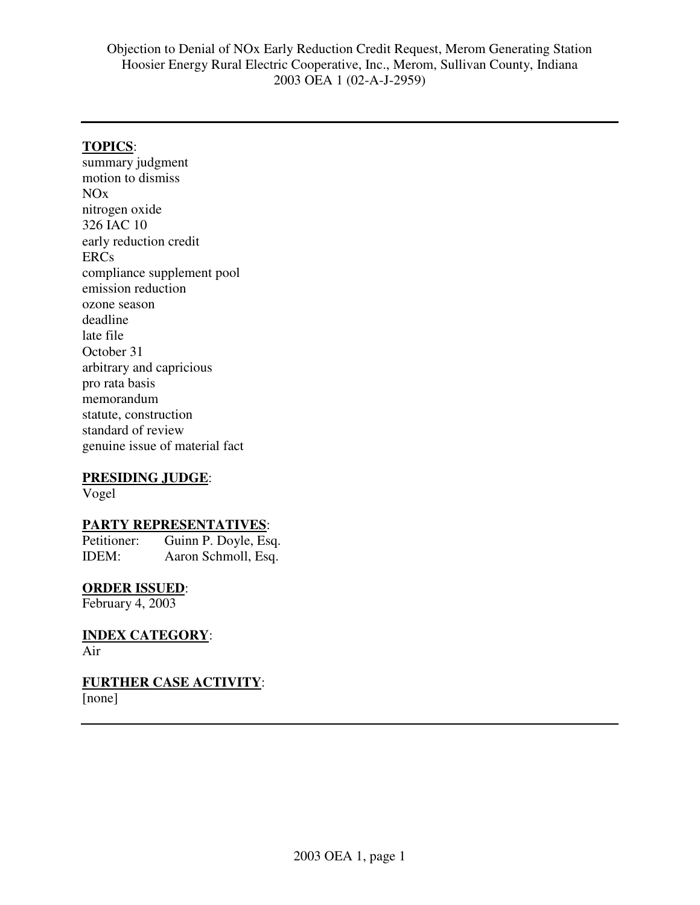# **TOPICS**:

summary judgment motion to dismiss NOx nitrogen oxide 326 IAC 10 early reduction credit ERCs compliance supplement pool emission reduction ozone season deadline late file October 31 arbitrary and capricious pro rata basis memorandum statute, construction standard of review genuine issue of material fact

### **PRESIDING JUDGE**:

Vogel

### **PARTY REPRESENTATIVES**:

Petitioner: Guinn P. Doyle, Esq. IDEM: Aaron Schmoll, Esq.

# **ORDER ISSUED**:

February 4, 2003

**INDEX CATEGORY**: Air

**FURTHER CASE ACTIVITY**:

[none]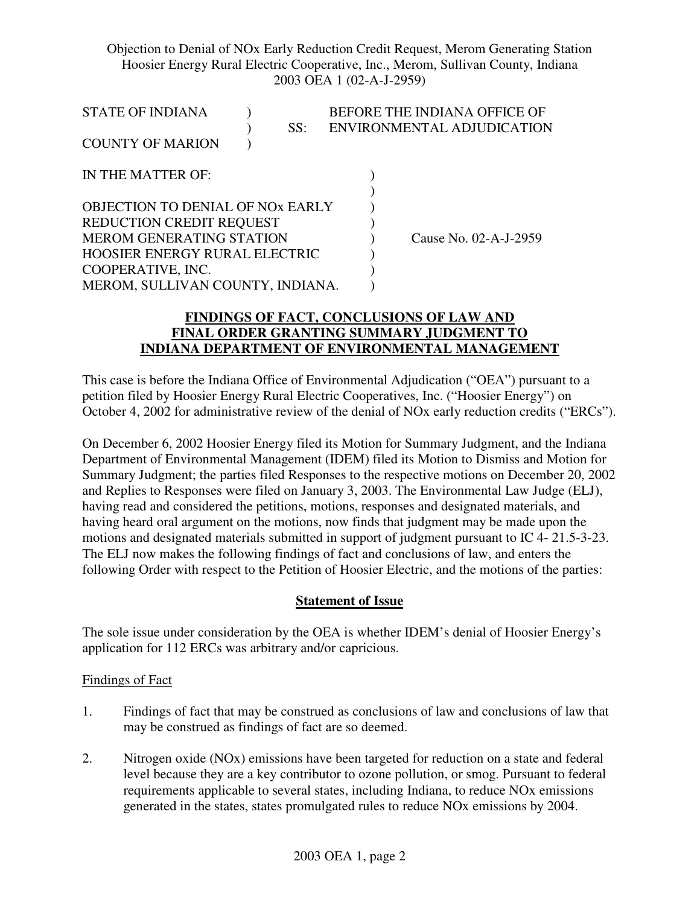| STATE OF INDIANA<br><b>COUNTY OF MARION</b>                                                                                                                                                      | SS: | BEFORE THE INDIANA OFFICE OF<br>ENVIRONMENTAL ADJUDICATION |
|--------------------------------------------------------------------------------------------------------------------------------------------------------------------------------------------------|-----|------------------------------------------------------------|
| IN THE MATTER OF:                                                                                                                                                                                |     |                                                            |
| OBJECTION TO DENIAL OF NOX EARLY<br>REDUCTION CREDIT REQUEST<br><b>MEROM GENERATING STATION</b><br><b>HOOSIER ENERGY RURAL ELECTRIC</b><br>COOPERATIVE, INC.<br>MEROM, SULLIVAN COUNTY, INDIANA. |     | Cause No. 02-A-J-2959                                      |

### **FINDINGS OF FACT, CONCLUSIONS OF LAW AND FINAL ORDER GRANTING SUMMARY JUDGMENT TO INDIANA DEPARTMENT OF ENVIRONMENTAL MANAGEMENT**

This case is before the Indiana Office of Environmental Adjudication ("OEA") pursuant to a petition filed by Hoosier Energy Rural Electric Cooperatives, Inc. ("Hoosier Energy") on October 4, 2002 for administrative review of the denial of NOx early reduction credits ("ERCs").

On December 6, 2002 Hoosier Energy filed its Motion for Summary Judgment, and the Indiana Department of Environmental Management (IDEM) filed its Motion to Dismiss and Motion for Summary Judgment; the parties filed Responses to the respective motions on December 20, 2002 and Replies to Responses were filed on January 3, 2003. The Environmental Law Judge (ELJ), having read and considered the petitions, motions, responses and designated materials, and having heard oral argument on the motions, now finds that judgment may be made upon the motions and designated materials submitted in support of judgment pursuant to IC 4- 21.5-3-23. The ELJ now makes the following findings of fact and conclusions of law, and enters the following Order with respect to the Petition of Hoosier Electric, and the motions of the parties:

### **Statement of Issue**

The sole issue under consideration by the OEA is whether IDEM's denial of Hoosier Energy's application for 112 ERCs was arbitrary and/or capricious.

#### Findings of Fact

- 1. Findings of fact that may be construed as conclusions of law and conclusions of law that may be construed as findings of fact are so deemed.
- 2. Nitrogen oxide (NOx) emissions have been targeted for reduction on a state and federal level because they are a key contributor to ozone pollution, or smog. Pursuant to federal requirements applicable to several states, including Indiana, to reduce NOx emissions generated in the states, states promulgated rules to reduce NOx emissions by 2004.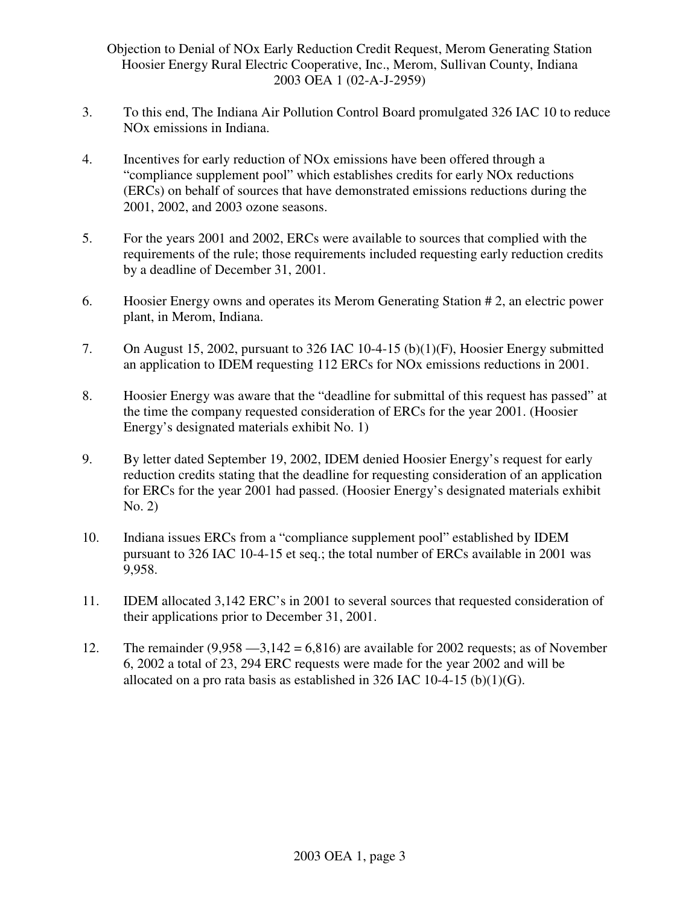- 3. To this end, The Indiana Air Pollution Control Board promulgated 326 IAC 10 to reduce NOx emissions in Indiana.
- 4. Incentives for early reduction of NOx emissions have been offered through a "compliance supplement pool" which establishes credits for early NOx reductions (ERCs) on behalf of sources that have demonstrated emissions reductions during the 2001, 2002, and 2003 ozone seasons.
- 5. For the years 2001 and 2002, ERCs were available to sources that complied with the requirements of the rule; those requirements included requesting early reduction credits by a deadline of December 31, 2001.
- 6. Hoosier Energy owns and operates its Merom Generating Station # 2, an electric power plant, in Merom, Indiana.
- 7. On August 15, 2002, pursuant to 326 IAC 10-4-15 (b)(1)(F), Hoosier Energy submitted an application to IDEM requesting 112 ERCs for NOx emissions reductions in 2001.
- 8. Hoosier Energy was aware that the "deadline for submittal of this request has passed" at the time the company requested consideration of ERCs for the year 2001. (Hoosier Energy's designated materials exhibit No. 1)
- 9. By letter dated September 19, 2002, IDEM denied Hoosier Energy's request for early reduction credits stating that the deadline for requesting consideration of an application for ERCs for the year 2001 had passed. (Hoosier Energy's designated materials exhibit No. 2)
- 10. Indiana issues ERCs from a "compliance supplement pool" established by IDEM pursuant to 326 IAC 10-4-15 et seq.; the total number of ERCs available in 2001 was 9,958.
- 11. IDEM allocated 3,142 ERC's in 2001 to several sources that requested consideration of their applications prior to December 31, 2001.
- 12. The remainder  $(9,958 3,142 = 6,816)$  are available for 2002 requests; as of November 6, 2002 a total of 23, 294 ERC requests were made for the year 2002 and will be allocated on a pro rata basis as established in  $326$  IAC 10-4-15 (b)(1)(G).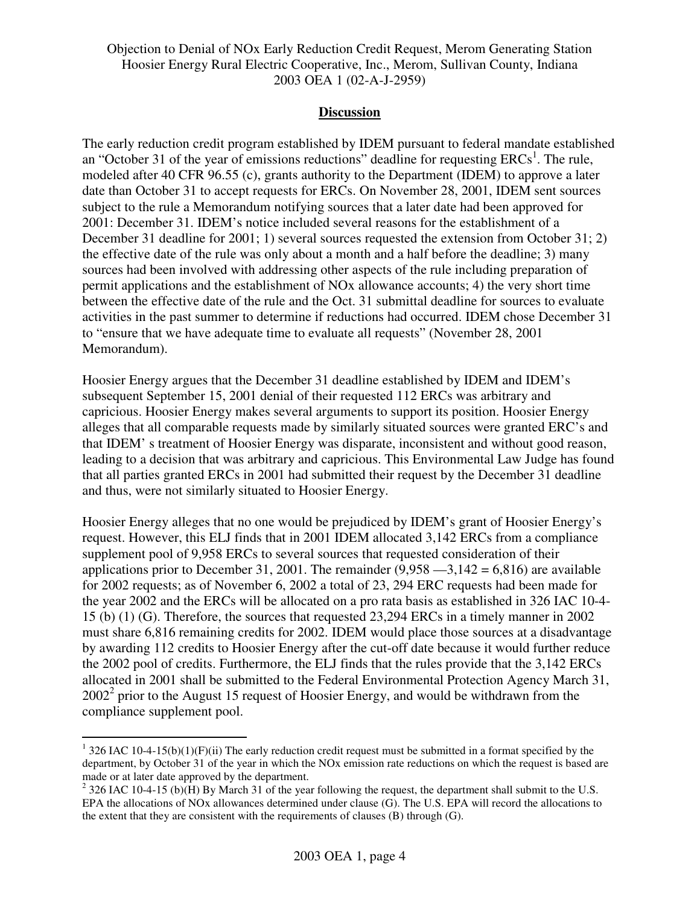#### **Discussion**

The early reduction credit program established by IDEM pursuant to federal mandate established an "October 31 of the year of emissions reductions" deadline for requesting  $ERCs<sup>1</sup>$ . The rule, modeled after 40 CFR 96.55 (c), grants authority to the Department (IDEM) to approve a later date than October 31 to accept requests for ERCs. On November 28, 2001, IDEM sent sources subject to the rule a Memorandum notifying sources that a later date had been approved for 2001: December 31. IDEM's notice included several reasons for the establishment of a December 31 deadline for 2001; 1) several sources requested the extension from October 31; 2) the effective date of the rule was only about a month and a half before the deadline; 3) many sources had been involved with addressing other aspects of the rule including preparation of permit applications and the establishment of NOx allowance accounts; 4) the very short time between the effective date of the rule and the Oct. 31 submittal deadline for sources to evaluate activities in the past summer to determine if reductions had occurred. IDEM chose December 31 to "ensure that we have adequate time to evaluate all requests" (November 28, 2001 Memorandum).

Hoosier Energy argues that the December 31 deadline established by IDEM and IDEM's subsequent September 15, 2001 denial of their requested 112 ERCs was arbitrary and capricious. Hoosier Energy makes several arguments to support its position. Hoosier Energy alleges that all comparable requests made by similarly situated sources were granted ERC's and that IDEM' s treatment of Hoosier Energy was disparate, inconsistent and without good reason, leading to a decision that was arbitrary and capricious. This Environmental Law Judge has found that all parties granted ERCs in 2001 had submitted their request by the December 31 deadline and thus, were not similarly situated to Hoosier Energy.

Hoosier Energy alleges that no one would be prejudiced by IDEM's grant of Hoosier Energy's request. However, this ELJ finds that in 2001 IDEM allocated 3,142 ERCs from a compliance supplement pool of 9,958 ERCs to several sources that requested consideration of their applications prior to December 31, 2001. The remainder  $(9.958 - 3.142 = 6.816)$  are available for 2002 requests; as of November 6, 2002 a total of 23, 294 ERC requests had been made for the year 2002 and the ERCs will be allocated on a pro rata basis as established in 326 IAC 10-4- 15 (b) (1) (G). Therefore, the sources that requested 23,294 ERCs in a timely manner in 2002 must share 6,816 remaining credits for 2002. IDEM would place those sources at a disadvantage by awarding 112 credits to Hoosier Energy after the cut-off date because it would further reduce the 2002 pool of credits. Furthermore, the ELJ finds that the rules provide that the 3,142 ERCs allocated in 2001 shall be submitted to the Federal Environmental Protection Agency March 31,  $2002<sup>2</sup>$  prior to the August 15 request of Hoosier Energy, and would be withdrawn from the compliance supplement pool.

 $1$  326 IAC 10-4-15(b)(1)(F)(ii) The early reduction credit request must be submitted in a format specified by the department, by October 31 of the year in which the NOx emission rate reductions on which the request is based are made or at later date approved by the department.

<sup>&</sup>lt;sup>2</sup> 326 IAC 10-4-15 (b)(H) By March 31 of the year following the request, the department shall submit to the U.S. EPA the allocations of NOx allowances determined under clause (G). The U.S. EPA will record the allocations to the extent that they are consistent with the requirements of clauses (B) through (G).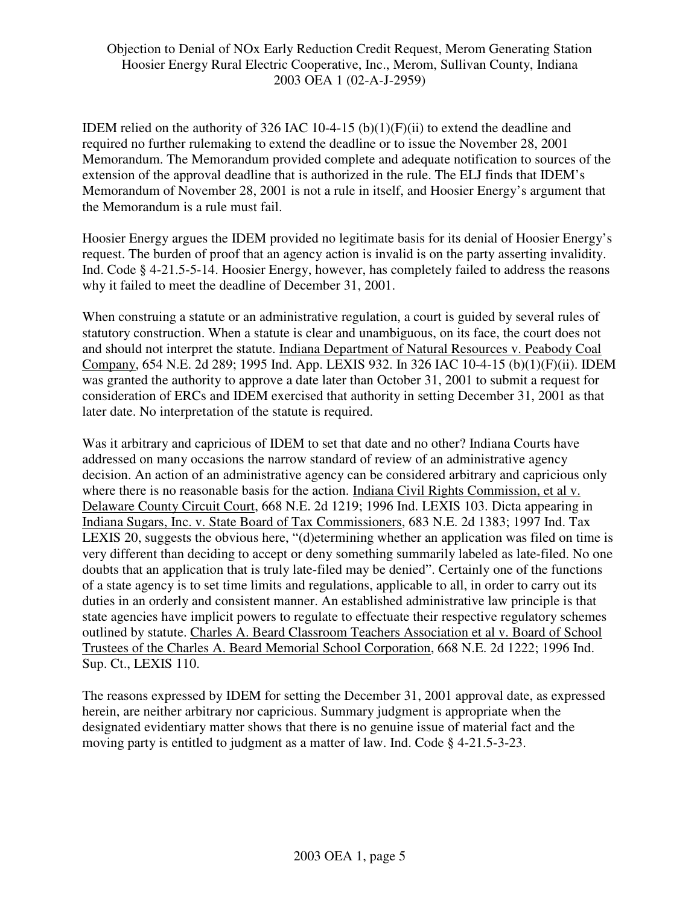IDEM relied on the authority of 326 IAC 10-4-15 (b)(1)(F)(ii) to extend the deadline and required no further rulemaking to extend the deadline or to issue the November 28, 2001 Memorandum. The Memorandum provided complete and adequate notification to sources of the extension of the approval deadline that is authorized in the rule. The ELJ finds that IDEM's Memorandum of November 28, 2001 is not a rule in itself, and Hoosier Energy's argument that the Memorandum is a rule must fail.

Hoosier Energy argues the IDEM provided no legitimate basis for its denial of Hoosier Energy's request. The burden of proof that an agency action is invalid is on the party asserting invalidity. Ind. Code § 4-21.5-5-14. Hoosier Energy, however, has completely failed to address the reasons why it failed to meet the deadline of December 31, 2001.

When construing a statute or an administrative regulation, a court is guided by several rules of statutory construction. When a statute is clear and unambiguous, on its face, the court does not and should not interpret the statute. Indiana Department of Natural Resources v. Peabody Coal Company, 654 N.E. 2d 289; 1995 Ind. App. LEXIS 932. In 326 IAC 10-4-15 (b)(1)(F)(ii). IDEM was granted the authority to approve a date later than October 31, 2001 to submit a request for consideration of ERCs and IDEM exercised that authority in setting December 31, 2001 as that later date. No interpretation of the statute is required.

Was it arbitrary and capricious of IDEM to set that date and no other? Indiana Courts have addressed on many occasions the narrow standard of review of an administrative agency decision. An action of an administrative agency can be considered arbitrary and capricious only where there is no reasonable basis for the action. Indiana Civil Rights Commission, et al v. Delaware County Circuit Court, 668 N.E. 2d 1219; 1996 Ind. LEXIS 103. Dicta appearing in Indiana Sugars, Inc. v. State Board of Tax Commissioners, 683 N.E. 2d 1383; 1997 Ind. Tax LEXIS 20, suggests the obvious here, "(d)etermining whether an application was filed on time is very different than deciding to accept or deny something summarily labeled as late-filed. No one doubts that an application that is truly late-filed may be denied". Certainly one of the functions of a state agency is to set time limits and regulations, applicable to all, in order to carry out its duties in an orderly and consistent manner. An established administrative law principle is that state agencies have implicit powers to regulate to effectuate their respective regulatory schemes outlined by statute. Charles A. Beard Classroom Teachers Association et al v. Board of School Trustees of the Charles A. Beard Memorial School Corporation, 668 N.E. 2d 1222; 1996 Ind. Sup. Ct., LEXIS 110.

The reasons expressed by IDEM for setting the December 31, 2001 approval date, as expressed herein, are neither arbitrary nor capricious. Summary judgment is appropriate when the designated evidentiary matter shows that there is no genuine issue of material fact and the moving party is entitled to judgment as a matter of law. Ind. Code § 4-21.5-3-23.